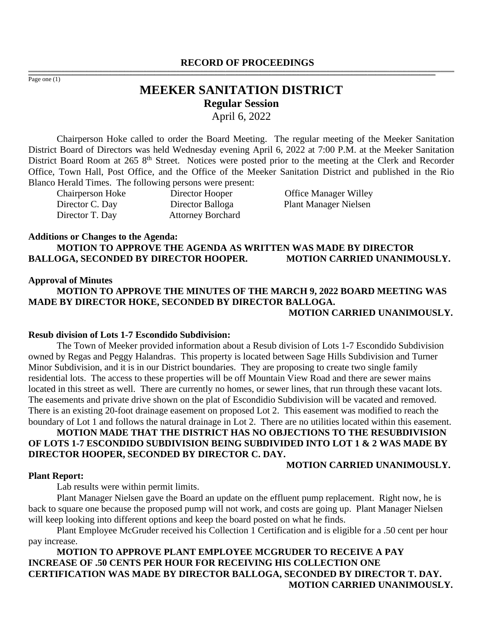#### **RECORD OF PROCEEDINGS** ,一个人都是不能在这里的,我们就是不能在这里的,我们就是我们的,我们就是我们的。""我们,我们就是我们的,我们就是我们的。""我们,我们就是我们的。""我们,我们

Page one (1)

# **MEEKER SANITATION DISTRICT Regular Session** April 6, 2022

,我们也不能会在这里,我们的人们就会不能会在这里,我们也不能会不能会不能会不能会不能会不能会不能会。""我们的人们就会不能会不能会不能会不能会不能会不能会不能会

Chairperson Hoke called to order the Board Meeting. The regular meeting of the Meeker Sanitation District Board of Directors was held Wednesday evening April 6, 2022 at 7:00 P.M. at the Meeker Sanitation District Board Room at 265 8<sup>th</sup> Street. Notices were posted prior to the meeting at the Clerk and Recorder Office, Town Hall, Post Office, and the Office of the Meeker Sanitation District and published in the Rio Blanco Herald Times. The following persons were present:

Director T. Day Attorney Borchard

Chairperson Hoke Director Hooper Office Manager Willey Director C. Day Director Balloga Plant Manager Nielsen

### **Additions or Changes to the Agenda:**

**MOTION TO APPROVE THE AGENDA AS WRITTEN WAS MADE BY DIRECTOR BALLOGA, SECONDED BY DIRECTOR HOOPER. MOTION CARRIED UNANIMOUSLY.**

## **Approval of Minutes**

**MOTION TO APPROVE THE MINUTES OF THE MARCH 9, 2022 BOARD MEETING WAS MADE BY DIRECTOR HOKE, SECONDED BY DIRECTOR BALLOGA. MOTION CARRIED UNANIMOUSLY.**

### **Resub division of Lots 1-7 Escondido Subdivision:**

The Town of Meeker provided information about a Resub division of Lots 1-7 Escondido Subdivision owned by Regas and Peggy Halandras. This property is located between Sage Hills Subdivision and Turner Minor Subdivision, and it is in our District boundaries. They are proposing to create two single family residential lots. The access to these properties will be off Mountain View Road and there are sewer mains located in this street as well. There are currently no homes, or sewer lines, that run through these vacant lots. The easements and private drive shown on the plat of Escondidio Subdivision will be vacated and removed. There is an existing 20-foot drainage easement on proposed Lot 2. This easement was modified to reach the boundary of Lot 1 and follows the natural drainage in Lot 2. There are no utilities located within this easement.

# **MOTION MADE THAT THE DISTRICT HAS NO OBJECTIONS TO THE RESUBDIVISION OF LOTS 1-7 ESCONDIDO SUBDIVISION BEING SUBDIVIDED INTO LOT 1 & 2 WAS MADE BY DIRECTOR HOOPER, SECONDED BY DIRECTOR C. DAY.**

# **MOTION CARRIED UNANIMOUSLY.**

#### **Plant Report:**

Lab results were within permit limits.

Plant Manager Nielsen gave the Board an update on the effluent pump replacement. Right now, he is back to square one because the proposed pump will not work, and costs are going up. Plant Manager Nielsen will keep looking into different options and keep the board posted on what he finds.

Plant Employee McGruder received his Collection 1 Certification and is eligible for a .50 cent per hour pay increase.

# **MOTION TO APPROVE PLANT EMPLOYEE MCGRUDER TO RECEIVE A PAY INCREASE OF .50 CENTS PER HOUR FOR RECEIVING HIS COLLECTION ONE CERTIFICATION WAS MADE BY DIRECTOR BALLOGA, SECONDED BY DIRECTOR T. DAY. MOTION CARRIED UNANIMOUSLY.**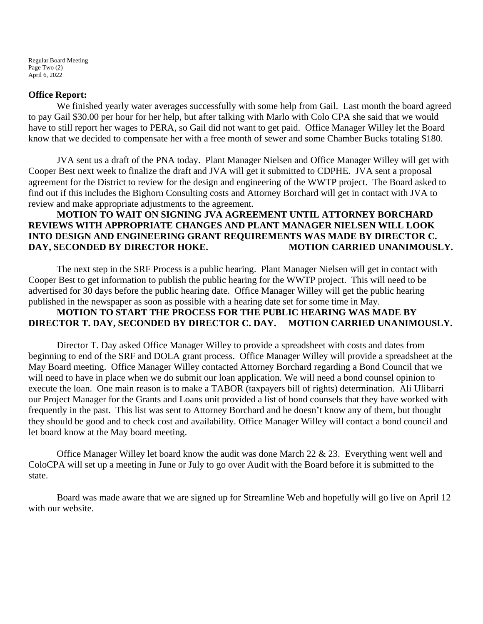Regular Board Meeting Page Two (2) April 6, 2022

### **Office Report:**

We finished yearly water averages successfully with some help from Gail. Last month the board agreed to pay Gail \$30.00 per hour for her help, but after talking with Marlo with Colo CPA she said that we would have to still report her wages to PERA, so Gail did not want to get paid. Office Manager Willey let the Board know that we decided to compensate her with a free month of sewer and some Chamber Bucks totaling \$180.

JVA sent us a draft of the PNA today. Plant Manager Nielsen and Office Manager Willey will get with Cooper Best next week to finalize the draft and JVA will get it submitted to CDPHE. JVA sent a proposal agreement for the District to review for the design and engineering of the WWTP project. The Board asked to find out if this includes the Bighorn Consulting costs and Attorney Borchard will get in contact with JVA to review and make appropriate adjustments to the agreement.

# **MOTION TO WAIT ON SIGNING JVA AGREEMENT UNTIL ATTORNEY BORCHARD REVIEWS WITH APPROPRIATE CHANGES AND PLANT MANAGER NIELSEN WILL LOOK INTO DESIGN AND ENGINEERING GRANT REQUIREMENTS WAS MADE BY DIRECTOR C.**  DAY, SECONDED BY DIRECTOR HOKE. MOTION CARRIED UNANIMOUSLY.

The next step in the SRF Process is a public hearing. Plant Manager Nielsen will get in contact with Cooper Best to get information to publish the public hearing for the WWTP project. This will need to be advertised for 30 days before the public hearing date. Office Manager Willey will get the public hearing published in the newspaper as soon as possible with a hearing date set for some time in May.

# **MOTION TO START THE PROCESS FOR THE PUBLIC HEARING WAS MADE BY DIRECTOR T. DAY, SECONDED BY DIRECTOR C. DAY. MOTION CARRIED UNANIMOUSLY.**

Director T. Day asked Office Manager Willey to provide a spreadsheet with costs and dates from beginning to end of the SRF and DOLA grant process. Office Manager Willey will provide a spreadsheet at the May Board meeting. Office Manager Willey contacted Attorney Borchard regarding a Bond Council that we will need to have in place when we do submit our loan application. We will need a bond counsel opinion to execute the loan. One main reason is to make a TABOR (taxpayers bill of rights) determination. Ali Ulibarri our Project Manager for the Grants and Loans unit provided a list of bond counsels that they have worked with frequently in the past. This list was sent to Attorney Borchard and he doesn't know any of them, but thought they should be good and to check cost and availability. Office Manager Willey will contact a bond council and let board know at the May board meeting.

Office Manager Willey let board know the audit was done March 22 & 23. Everything went well and ColoCPA will set up a meeting in June or July to go over Audit with the Board before it is submitted to the state.

Board was made aware that we are signed up for Streamline Web and hopefully will go live on April 12 with our website.